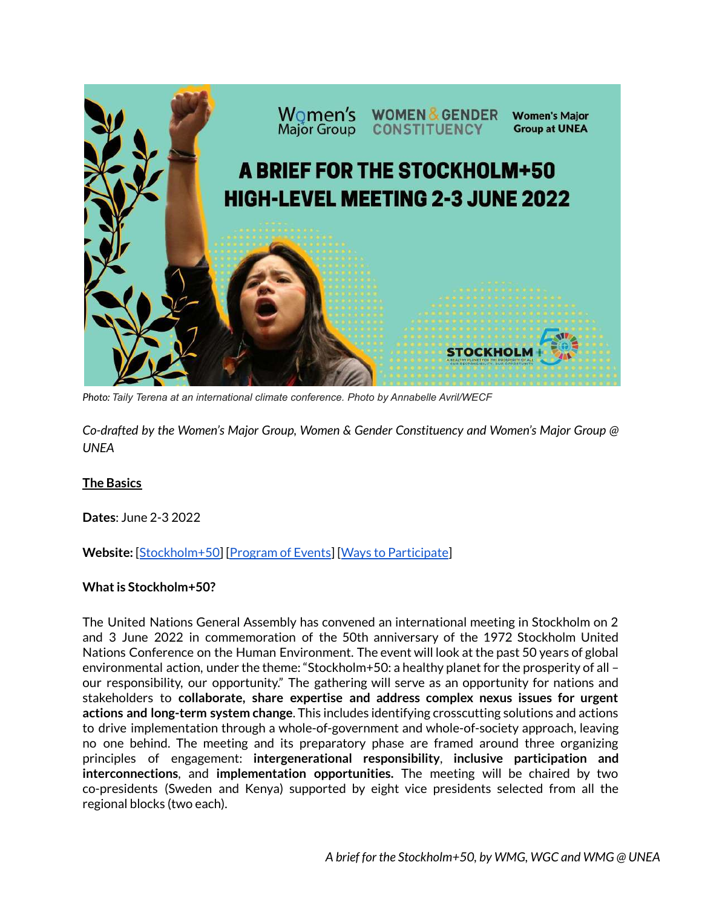

*Photo: Taily Terena at an international climate conference. Photo by Annabelle Avril/WECF*

*Co-drafted by the Women's Major Group, Women & Gender Constituency and Women's Major Group @ UNEA*

### **The Basics**

**Dates**: June 2-3 2022

**Website:** [[Stockholm+50\]](https://www.stockholm50.global/) [\[Program of Events\]](https://www.stockholm50.global/events) [[Ways to Participate](https://www.stockholm50.global/participate/ways-participate)]

### **What is Stockholm+50?**

The United Nations General Assembly has convened an international meeting in Stockholm on 2 and 3 June 2022 in commemoration of the 50th anniversary of the 1972 Stockholm United Nations Conference on the Human Environment. The event will look at the past 50 years of global environmental action, under the theme: "Stockholm+50: a healthy planet for the prosperity of all – our responsibility, our opportunity." The gathering will serve as an opportunity for nations and stakeholders to **collaborate, share expertise and address complex nexus issues for urgent actions and long-term system change**. This includes identifying crosscutting solutions and actions to drive implementation through a whole-of-government and whole-of-society approach, leaving no one behind. The meeting and its preparatory phase are framed around three organizing principles of engagement: **intergenerational responsibility**, **inclusive participation and interconnections**, and **implementation opportunities.** The meeting will be chaired by two co-presidents (Sweden and Kenya) supported by eight vice presidents selected from all the regional blocks (two each).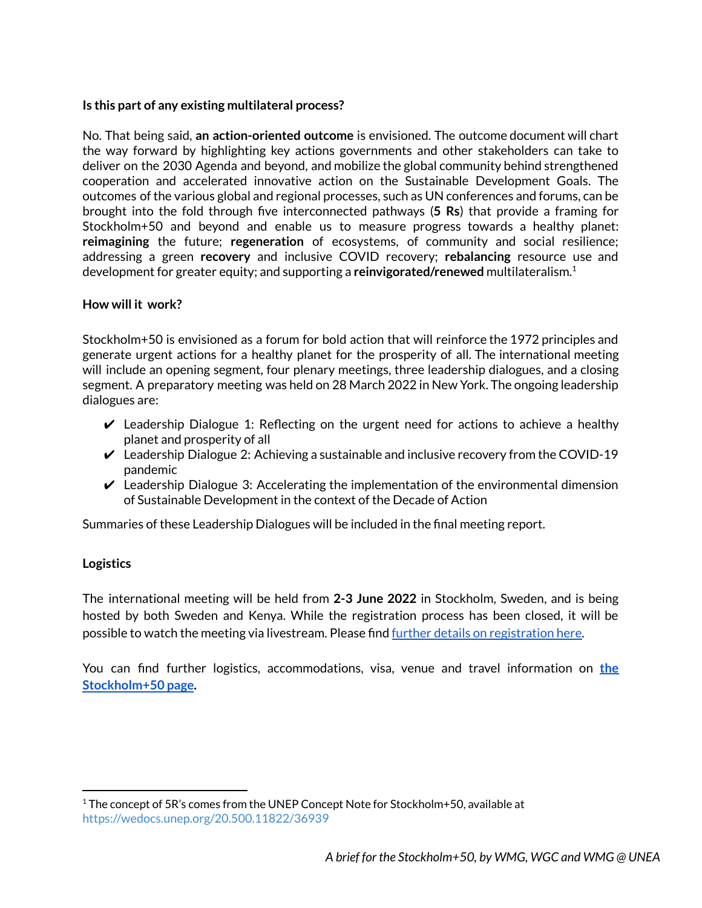### **Is this part of any existing multilateral process?**

No. That being said, **an action-oriented outcome** is envisioned. The outcome document will chart the way forward by highlighting key actions governments and other stakeholders can take to deliver on the 2030 Agenda and beyond, and mobilize the global community behind strengthened cooperation and accelerated innovative action on the Sustainable Development Goals. The outcomes of the various global and regional processes, such as UN conferences and forums, can be brought into the fold through five interconnected pathways (**5 Rs**) that provide a framing for Stockholm+50 and beyond and enable us to measure progress towards a healthy planet: **reimagining** the future; **regeneration** of ecosystems, of community and social resilience; addressing a green **recovery** and inclusive COVID recovery; **rebalancing** resource use and development for greater equity; and supporting a **reinvigorated/renewed** multilateralism.<sup>1</sup>

#### **How will it work?**

Stockholm+50 is envisioned as a forum for bold action that will reinforce the 1972 principles and generate urgent actions for a healthy planet for the prosperity of all. The international meeting will include an opening segment, four plenary meetings, three leadership dialogues, and a closing segment. A preparatory meeting was held on 28 March 2022 in New York. The ongoing leadership dialogues are:

- $\vee$  Leadership Dialogue 1: Reflecting on the urgent need for actions to achieve a healthy planet and prosperity of all
- $\vee$  Leadership Dialogue 2: Achieving a sustainable and inclusive recovery from the COVID-19 pandemic
- $\vee$  Leadership Dialogue 3: Accelerating the implementation of the environmental dimension of Sustainable Development in the context of the Decade of Action

Summaries of these Leadership Dialogues will be included in the final meeting report.

### **Logistics**

The international meeting will be held from **2-3 June 2022** in Stockholm, Sweden, and is being hosted by both Sweden and Kenya. While the registration process has been closed, it will be possible to watch the meeting via livestream. Please find [further details on registration here.](https://www.stockholm50.global/participate/accreditation-registration)

You can find further logistics, accommodations, visa, venue and travel information on **[the](https://www.government.se/government-policy/stockholm50/s50-travel-information/) [Stockholm+50 page](https://www.government.se/government-policy/stockholm50/s50-travel-information/).**

 $1$  The concept of 5R's comes from the UNEP Concept Note for Stockholm+50, available at <https://wedocs.unep.org/20.500.11822/36939>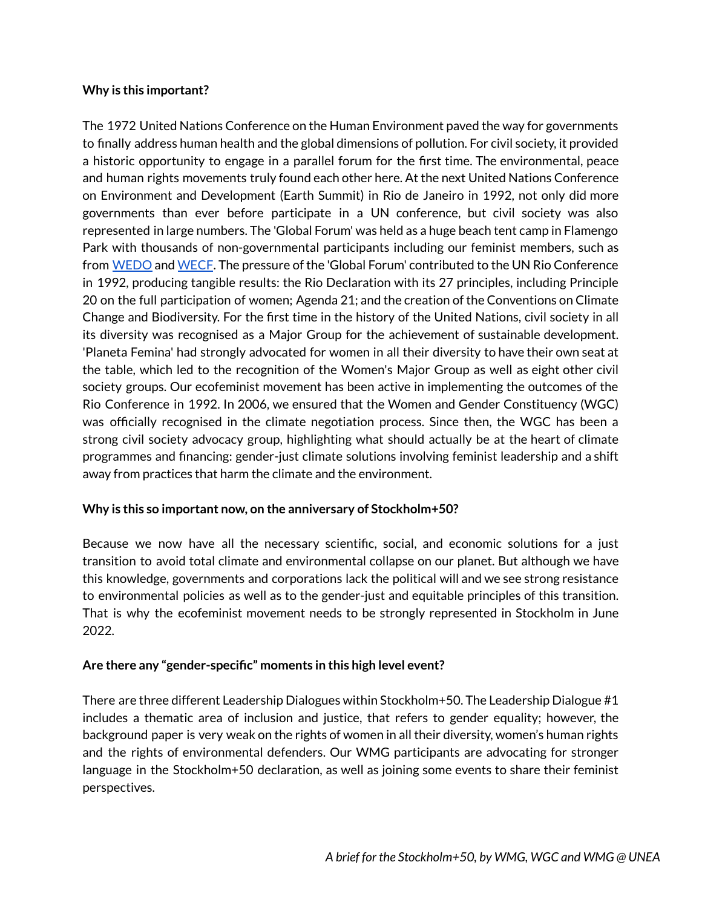## **Why is this important?**

The 1972 United Nations Conference on the Human Environment paved the way for governments to finally address human health and the global dimensions of pollution. For civil society, it provided a historic opportunity to engage in a parallel forum for the first time. The environmental, peace and human rights movements truly found each other here. At the next United Nations Conference on Environment and Development (Earth Summit) in Rio de Janeiro in 1992, not only did more governments than ever before participate in a UN conference, but civil society was also represented in large numbers. The 'Global Forum' was held as a huge beach tent camp in Flamengo Park with thousands of non-governmental participants including our feminist members, such as from [WEDO](http://wedo.org) and [WECF](http://wecf.org). The pressure of the 'Global Forum' contributed to the UN Rio Conference in 1992, producing tangible results: the Rio Declaration with its 27 principles, including Principle 20 on the full participation of women; Agenda 21; and the creation of the Conventions on Climate Change and Biodiversity. For the first time in the history of the United Nations, civil society in all its diversity was recognised as a Major Group for the achievement of sustainable development. 'Planeta Femina' had strongly advocated for women in all their diversity to have their own seat at the table, which led to the recognition of the Women's Major Group as well as eight other civil society groups. Our ecofeminist movement has been active in implementing the outcomes of the Rio Conference in 1992. In 2006, we ensured that the Women and Gender Constituency (WGC) was officially recognised in the climate negotiation process. Since then, the WGC has been a strong civil society advocacy group, highlighting what should actually be at the heart of climate programmes and financing: gender-just climate solutions involving feminist leadership and a shift away from practices that harm the climate and the environment.

# **Why is this so important now, on the anniversary of Stockholm+50?**

Because we now have all the necessary scientific, social, and economic solutions for a just transition to avoid total climate and environmental collapse on our planet. But although we have this knowledge, governments and corporations lack the political will and we see strong resistance to environmental policies as well as to the gender-just and equitable principles of this transition. That is why the ecofeminist movement needs to be strongly represented in Stockholm in June 2022.

# **Are there any "gender-specific" moments in this high level event?**

There are three different Leadership Dialogues within Stockholm+50. The Leadership Dialogue #1 includes a thematic area of inclusion and justice, that refers to gender equality; however, the background paper is very weak on the rights of women in all their diversity, women's human rights and the rights of environmental defenders. Our WMG participants are advocating for stronger language in the Stockholm+50 declaration, as well as joining some events to share their feminist perspectives.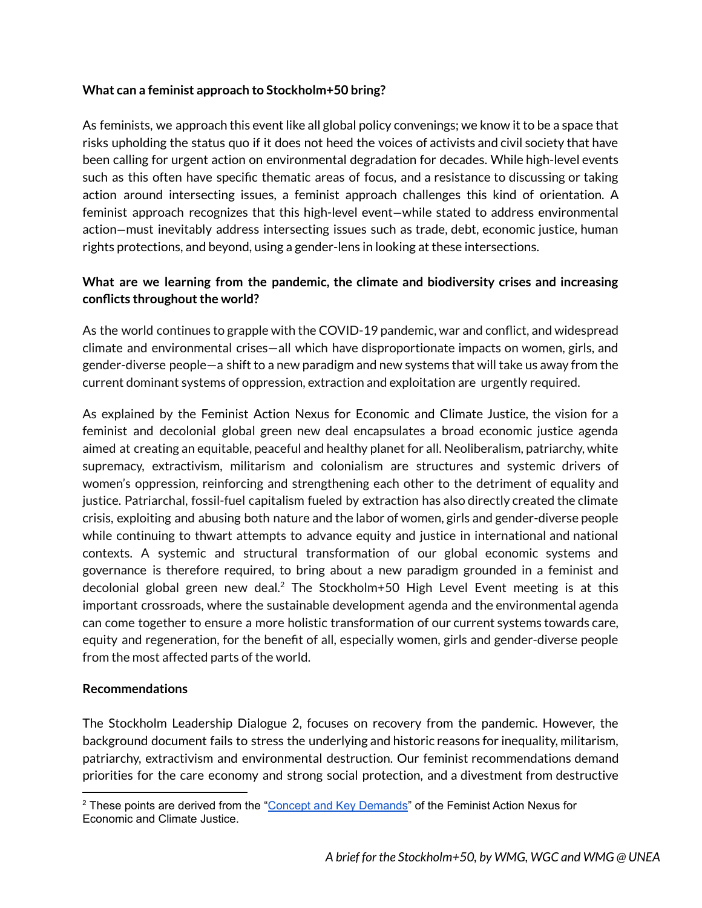## **What can a feminist approach to Stockholm+50 bring?**

As feminists, we approach this event like all global policy convenings; we know it to be a space that risks upholding the status quo if it does not heed the voices of activists and civil society that have been calling for urgent action on environmental degradation for decades. While high-level events such as this often have specific thematic areas of focus, and a resistance to discussing or taking action around intersecting issues, a feminist approach challenges this kind of orientation. A feminist approach recognizes that this high-level event—while stated to address environmental action—must inevitably address intersecting issues such as trade, debt, economic justice, human rights protections, and beyond, using a gender-lens in looking at these intersections.

# **What are we learning from the pandemic, the climate and biodiversity crises and increasing conflicts throughout the world?**

As the world continues to grapple with the COVID-19 pandemic, war and conflict, and widespread climate and environmental crises—all which have disproportionate impacts on women, girls, and gender-diverse people—a shift to a new paradigm and new systems that will take us away from the current dominant systems of oppression, extraction and exploitation are urgently required.

As explained by the Feminist Action Nexus for Economic and Climate Justice, the vision for a feminist and decolonial global green new deal encapsulates a broad economic justice agenda aimed at creating an equitable, peaceful and healthy planet for all. Neoliberalism, patriarchy, white supremacy, extractivism, militarism and colonialism are structures and systemic drivers of women's oppression, reinforcing and strengthening each other to the detriment of equality and justice. Patriarchal, fossil-fuel capitalism fueled by extraction has also directly created the climate crisis, exploiting and abusing both nature and the labor of women, girls and gender-diverse people while continuing to thwart attempts to advance equity and justice in international and national contexts. A systemic and structural transformation of our global economic systems and governance is therefore required, to bring about a new paradigm grounded in a feminist and decolonial global green new deal.<sup>2</sup> The Stockholm+50 High Level Event meeting is at this important crossroads, where the sustainable development agenda and the environmental agenda can come together to ensure a more holistic transformation of our current systems towards care, equity and regeneration, for the benefit of all, especially women, girls and gender-diverse people from the most affected parts of the world.

### **Recommendations**

The Stockholm Leadership Dialogue 2, focuses on recovery from the pandemic. However, the background document fails to stress the underlying and historic reasons for inequality, militarism, patriarchy, extractivism and environmental destruction. Our feminist recommendations demand priorities for the care economy and strong social protection, and a divestment from destructive

<sup>&</sup>lt;sup>2</sup> These points are derived from the "[Concept and Key Demands"](https://wedo.org/wp-content/uploads/2022/05/ActionNexus_KeyDemands_EN.pdf) of the Feminist Action Nexus for Economic and Climate Justice.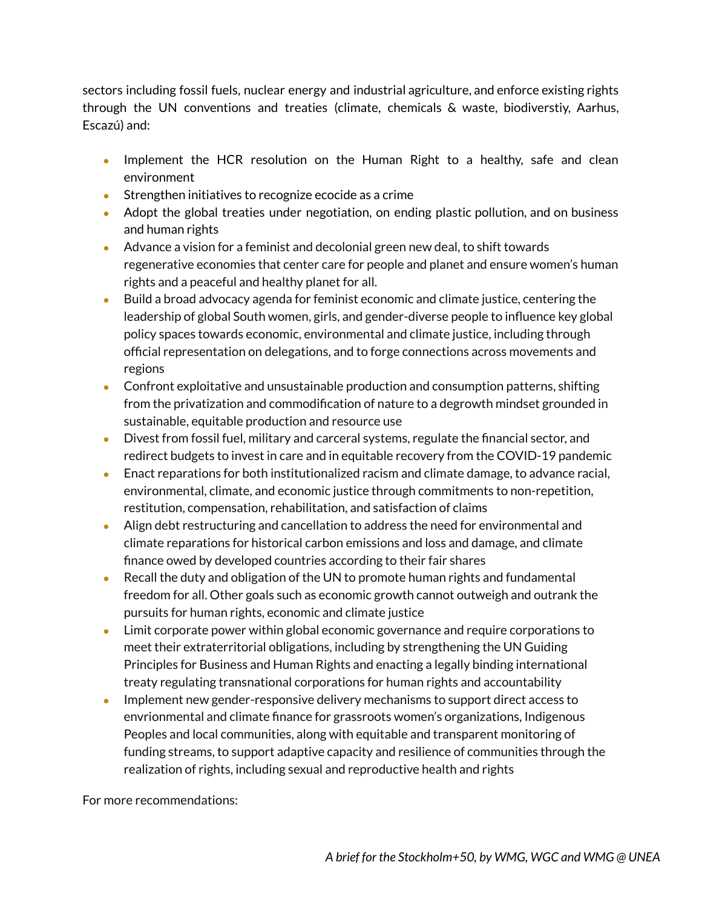sectors including fossil fuels, nuclear energy and industrial agriculture, and enforce existing rights through the UN conventions and treaties (climate, chemicals & waste, biodiverstiy, Aarhus, Escazú) and:

- **●** Implement the HCR resolution on the Human Right to a healthy, safe and clean environment
- **●** Strengthen initiatives to recognize ecocide as a crime
- **●** Adopt the global treaties under negotiation, on ending plastic pollution, and on business and human rights
- Advance a vision for a feminist and decolonial green new deal, to shift towards regenerative economies that center care for people and planet and ensure women's human rights and a peaceful and healthy planet for all.
- Build a broad advocacy agenda for feminist economic and climate justice, centering the leadership of global South women, girls, and gender-diverse people to influence key global policy spaces towards economic, environmental and climate justice, including through official representation on delegations, and to forge connections across movements and regions
- Confront exploitative and unsustainable production and consumption patterns, shifting from the privatization and commodification of nature to a degrowth mindset grounded in sustainable, equitable production and resource use
- Divest from fossil fuel, military and carceral systems, regulate the financial sector, and redirect budgets to invest in care and in equitable recovery from the COVID-19 pandemic
- Enact reparations for both institutionalized racism and climate damage, to advance racial, environmental, climate, and economic justice through commitments to non-repetition, restitution, compensation, rehabilitation, and satisfaction of claims
- Align debt restructuring and cancellation to address the need for environmental and climate reparations for historical carbon emissions and loss and damage, and climate finance owed by developed countries according to their fair shares
- Recall the duty and obligation of the UN to promote human rights and fundamental freedom for all. Other goals such as economic growth cannot outweigh and outrank the pursuits for human rights, economic and climate justice
- Limit corporate power within global economic governance and require corporations to meet their extraterritorial obligations, including by strengthening the UN Guiding Principles for Business and Human Rights and enacting a legally binding international treaty regulating transnational corporations for human rights and accountability
- Implement new gender-responsive delivery mechanisms to support direct access to envrionmental and climate finance for grassroots women's organizations, Indigenous Peoples and local communities, along with equitable and transparent monitoring of funding streams, to support adaptive capacity and resilience of communities through the realization of rights, including sexual and reproductive health and rights

For more recommendations: